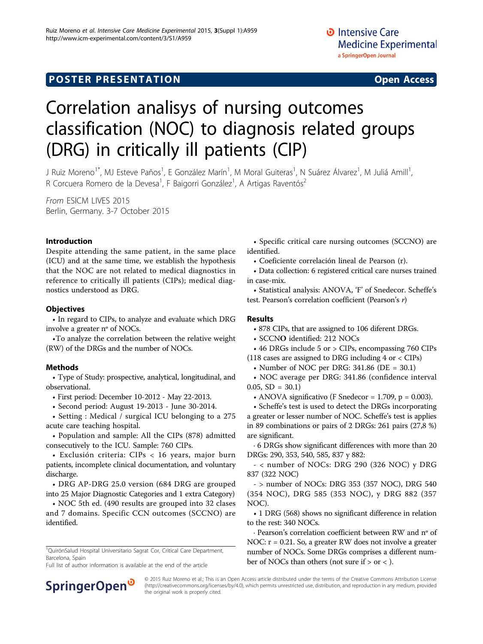## **POSTER PRESENTATION CONSUMING THE SERVICE SERVICE SERVICES**

# Correlation analisys of nursing outcomes classification (NOC) to diagnosis related groups (DRG) in critically ill patients (CIP)

J Ruiz Moreno<sup>1\*</sup>, MJ Esteve Paños<sup>1</sup>, E González Marín<sup>1</sup>, M Moral Guiteras<sup>1</sup>, N Suárez Álvarez<sup>1</sup>, M Juliá Amill<sup>1</sup> , R Corcuera Romero de la Devesa<sup>1</sup>, F Baigorri González<sup>1</sup>, A Artigas Raventós<sup>2</sup>

From ESICM LIVES 2015 Berlin, Germany. 3-7 October 2015

#### Introduction

Despite attending the same patient, in the same place (ICU) and at the same time, we establish the hypothesis that the NOC are not related to medical diagnostics in reference to critically ill patients (CIPs); medical diagnostics understood as DRG.

#### **Objectives**

• In regard to CIPs, to analyze and evaluate which DRG involve a greater nº of NOCs.

•To analyze the correlation between the relative weight (RW) of the DRGs and the number of NOCs.

#### Methods

• Type of Study: prospective, analytical, longitudinal, and observational.

• First period: December 10-2012 - May 22-2013.

• Second period: August 19-2013 - June 30-2014.

• Setting : Medical / surgical ICU belonging to a 275 acute care teaching hospital.

• Population and sample: All the CIPs (878) admitted consecutively to the ICU. Sample: 760 CIPs.

• Exclusión criteria: CIPs < 16 years, major burn patients, incomplete clinical documentation, and voluntary discharge.

• DRG AP-DRG 25.0 version (684 DRG are grouped into 25 Major Diagnostic Categories and 1 extra Category)

• NOC 5th ed. (490 results are grouped into 32 clases and 7 domains. Specific CCN outcomes (SCCNO) are identified.

<sup>1</sup>QuirónSalud Hospital Universitario Sagrat Cor, Critical Care Department, Barcelona, Spain

Full list of author information is available at the end of the article



• Coeficiente correlación lineal de Pearson (r).

• Data collection: 6 registered critical care nurses trained in case-mix.

• Statistical analysis: ANOVA, 'F' of Snedecor. Scheffe's test. Pearson's correlation coefficient (Pearson's r)

#### Results

- 878 CIPs, that are assigned to 106 diferent DRGs.
- SCCNO identified: 212 NOCs
- 46 DRGs include 5 or > CIPs, encompassing 760 CIPs
- (118 cases are assigned to DRG including  $4$  or  $\langle$  CIPs)
	- Number of NOC per DRG: 341.86 (DE = 30.1)

• NOC average per DRG: 341.86 (confidence interval  $0.05$ , SD = 30.1)

• ANOVA significativo (F Snedecor = 1.709,  $p = 0.003$ ).

• Scheffe's test is used to detect the DRGs incorporating a greater or lesser number of NOC. Scheffe's test is applies in 89 combinations or pairs of 2 DRGs: 261 pairs (27,8 %) are significant.

· 6 DRGs show significant differences with more than 20 DRGs: 290, 353, 540, 585, 837 y 882:

- < number of NOCs: DRG 290 (326 NOC) y DRG 837 (322 NOC)

- > number of NOCs: DRG 353 (357 NOC), DRG 540 (354 NOC), DRG 585 (353 NOC), y DRG 882 (357 NOC).

• 1 DRG (568) shows no significant difference in relation to the rest: 340 NOCs.

· Pearson's correlation coefficient between RW and nº of NOC: r = 0.21. So, a greater RW does not involve a greater number of NOCs. Some DRGs comprises a different number of NOCs than others (not sure if  $>$  or  $<$  ).



© 2015 Ruiz Moreno et al.; This is an Open Access article distributed under the terms of the Creative Commons Attribution License [\(http://creativecommons.org/licenses/by/4.0](http://creativecommons.org/licenses/by/4.0)), which permits unrestricted use, distribution, and reproduction in any medium, provided the original work is properly cited.